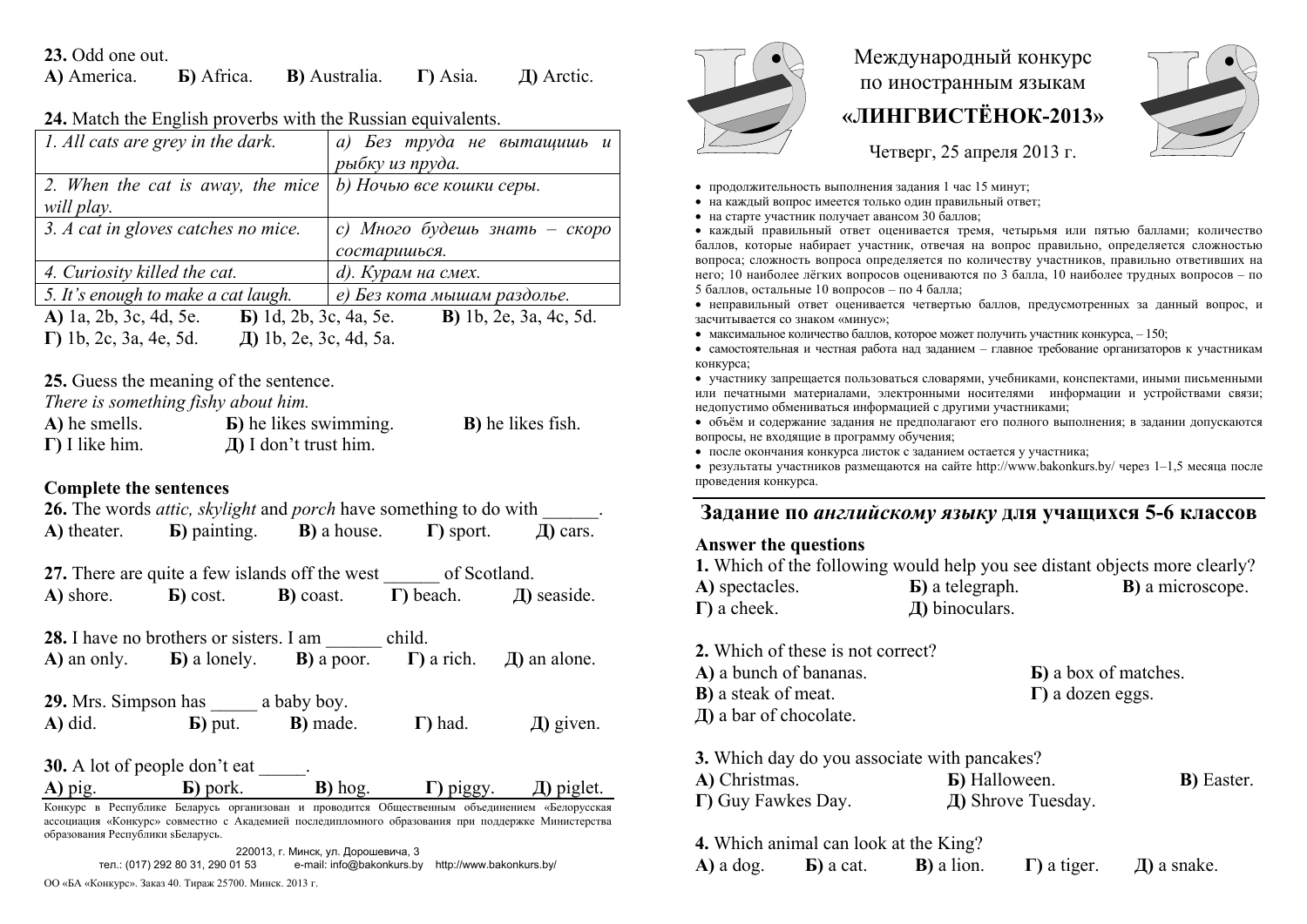#### **23.** Odd one out.

| A) America. | <b>Б</b> ) Africa. | <b>B</b> ) Australia. | $\Gamma$ ) Asia. | $\pi$ ) Arctic. |
|-------------|--------------------|-----------------------|------------------|-----------------|
|-------------|--------------------|-----------------------|------------------|-----------------|

#### **24.** Match the English proverbs with the Russian equivalents.

| 1. All cats are grey in the dark.                                                        | а) Без труда не вытащишь и     |
|------------------------------------------------------------------------------------------|--------------------------------|
|                                                                                          | рыбку из пруда.                |
| 2. When the cat is away, the mice $ $                                                    | b) Ночью все кошки серы.       |
| will play.                                                                               |                                |
| 3. A cat in gloves catches no mice.                                                      | с) Много будешь знать – скоро  |
|                                                                                          | состаришься.                   |
| 4. Curiosity killed the cat.                                                             | d). Курам на смех.             |
| 5. It's enough to make a cat laugh.                                                      | е) Без кота мышам раздолье.    |
| A) 1a, 2b, 3c, 4d, 5e.<br><b>b</b> ) 1d, 2b, 3c, 4a, 5e.                                 | <b>B</b> ) 1b, 2e, 3a, 4c, 5d. |
| $\pi$ 1 $\lambda$ $\sigma$ $\alpha$ 1 $\sigma$<br>$\Gamma$ 11, $2a$ , $2a$ , $4a$ , $5d$ |                                |

**Г)** 1b, 2c, 3a, 4e, 5d. **Д)** 1b, 2e, 3c, 4d, 5a.

**25.** Guess the meaning of the sentence.

*There is something fishy about him.*

| A) he smells.          | <b>b</b> ) he likes swimming. | <b>B</b> ) he likes fish. |
|------------------------|-------------------------------|---------------------------|
| $\Gamma$ ) I like him. | $\pi$ ) I don't trust him.    |                           |

### **Complete the sentences**

**26.** The words *attic, skylight* and *porch* have something to do with \_\_\_\_\_\_. **А)** theater. **Б)** painting. **В)** a house. **Г)** sport. **Д)** cars. 27. There are quite a few islands off the west of Scotland. **А)** shore. **Б)** cost. **В)** coast. **Г)** beach. **Д)** seaside. **28.** I have no brothers or sisters. I am child. **А)** an only. **Б)** a lonely. **В)** <sup>a</sup> рoor. **Г)** a rich. **Д)** an alone. **29.** Mrs. Simpson has a baby boy. **А)** did. **Б)** put. **В)** made. **Г)** had. **Д)** given. **30.** A lot of people don't eat **А)** pig. **Б)** pork. **В)** hog. **Г)** piggy. **Д)** piglet. Конкурс <sup>в</sup> Республике Беларусь организован <sup>и</sup> проводится Общественным объединением «Белорусская

ассоциация «Конкурс» совместно <sup>с</sup> Академией последипломного образования при поддержке Министерства образования Республики sБеларусь.

220013, <sup>г</sup>. Минск, ул. Дорошевича, 3 тел.: (017) 292 80 31, 290 01 53 e-mail: info@bakonkurs.by http://www.bakonkurs.by/

ОО «БА «Конкурс». Заказ 40. Тираж 25700. Минск. 2013 <sup>г</sup>.



# Международный конкурс по иностранным языкам **«ЛИНГВИСТЁНОК-2013»**



Четверг, 25 апреля 2013 г.

- продолжительность выполнения задания 1 час 15 минут;
- на каждый вопрос имеется только один правильный ответ;
- на старте участник получает авансом 30 баллов;

 каждый правильный ответ оценивается тремя, четырьмя или пятью баллами; количество баллов, которые набирает участник, отвечая на вопрос правильно, определяется сложностью вопроса; сложность вопроса определяется по количеству участников, правильно ответивших на него; 10 наиболее лёгких вопросов оцениваются по 3 балла, 10 наиболее трудных вопросов – по 5 баллов, остальные 10 вопросов – по 4 балла;

 неправильный ответ оценивается четвертью баллов, предусмотренных за данный вопрос, <sup>и</sup> засчитывается со знаком «минус»;

 $\bullet$  максимальное количество баллов, которое может получить участник конкурса,  $-150$ ;

 самостоятельная и честная работа над заданием – главное требование организаторов <sup>к</sup> участникам конкурса;

 участнику запрещается пользоваться словарями, учебниками, конспектами, иными письменными или печатными материалами, электронными носителями информации <sup>и</sup> устройствами связи; недопустимо обмениваться информацией <sup>с</sup> другими участниками;

 объём <sup>и</sup> содержание задания не предполагают его полного выполнения; <sup>в</sup> задании допускаются вопросы, не входящие <sup>в</sup> программу обучения;

после окончания конкурса листок с заданием остается у участника;

 результаты участников размещаются на сайте http://www.bakonkurs.by/ через 1–1,5 месяца после проведения конкурса.

## **Задание по** *английскому языку* **для учащихся 5-6 классов**

#### **Answer the questions**

|                     |                         | 1. Which of the following would help you see distant objects more clearly? |
|---------------------|-------------------------|----------------------------------------------------------------------------|
| A) spectacles.      | <b>b</b> ) a telegraph. | <b>B</b> ) a microscope.                                                   |
| $\Gamma$ ) a cheek. | $\pi$ ) binoculars.     |                                                                            |

**2.** Which of these is not correct? **А)** a bunch of bananas. **Б)** a box of matches. **В)** a steak of meat. **Г)** a dozen eggs. **Д)** a bar of chocolate.

**3.** Which day do you associate with pancakes?

| A) Christmas.      | <b>Б</b> ) Halloween. | <b>B</b> ) Easter. |
|--------------------|-----------------------|--------------------|
| Γ) Guy Fawkes Day. | Д) Shrove Tuesday.    |                    |

**4.** Which animal can look at the King? **А)** a dog.

**Б)** a cat. **В)** a lion. **Г)** a tiger. **Д)** a snake.